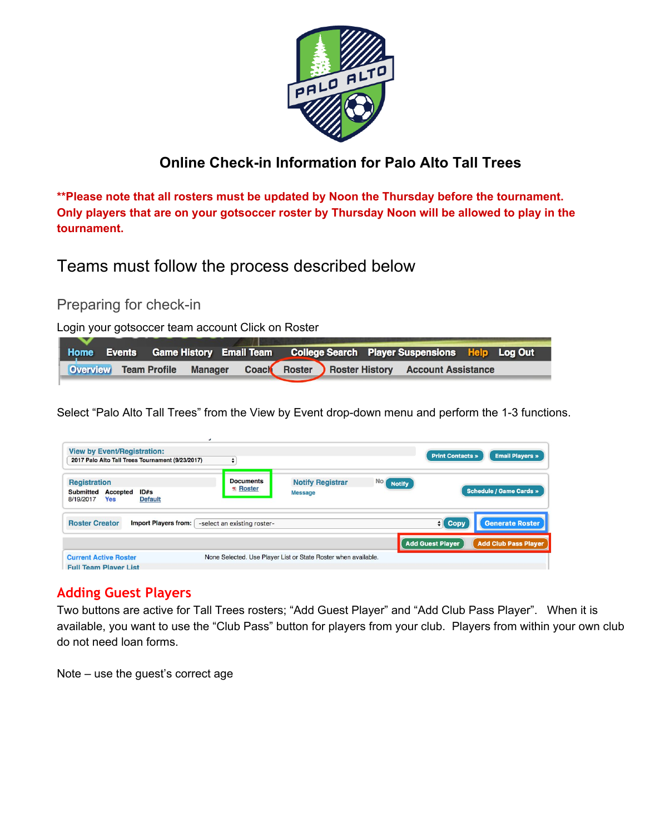

## **Online Check-in Information for Palo Alto Tall Trees**

**\*\*Please note that all rosters must be updated by Noon the Thursday before the tournament. Only players that are on your gotsoccer roster by Thursday Noon will be allowed to play in the tournament.**

Teams must follow the process described below

Preparing for check-in

Login your gotsoccer team account Click on Roster

|  |  |  |  | Home Events Game History Email Team College Search Player Suspensions Help Log Out |  |
|--|--|--|--|------------------------------------------------------------------------------------|--|
|  |  |  |  | Overview Team Profile Manager Coach Roster Roster History Account Assistance       |  |

Select "Palo Alto Tall Trees" from the View by Event drop-down menu and perform the 1-3 functions.

| <b>View by Event/Registration:</b><br>2017 Palo Alto Tall Trees Tournament (9/23/2017)                          | ÷                                |                                                                |                       | <b>Print Contacts »</b> | <b>Email Players »</b>         |
|-----------------------------------------------------------------------------------------------------------------|----------------------------------|----------------------------------------------------------------|-----------------------|-------------------------|--------------------------------|
| <b>Registration</b><br><b>Submitted</b><br>ID#s<br><b>Accepted</b><br><b>Yes</b><br>8/19/2017<br><b>Default</b> | <b>Documents</b><br>$\pi$ Roster | <b>Notify Registrar</b><br><b>Message</b>                      | No (<br><b>Notify</b> |                         | <b>Schedule / Game Cards »</b> |
| <b>Roster Creator</b><br><b>Import Players from:</b>                                                            | -select an existing roster-      |                                                                |                       | $\mathbf{H}$ Copy       | Generate Roster                |
|                                                                                                                 |                                  |                                                                |                       | <b>Add Guest Player</b> | <b>Add Club Pass Player</b>    |
| <b>Current Active Roster</b><br><b>Full Team Player List</b>                                                    |                                  | None Selected. Use Player List or State Roster when available. |                       |                         |                                |

### **Adding Guest Players**

Two buttons are active for Tall Trees rosters; "Add Guest Player" and "Add Club Pass Player". When it is available, you want to use the "Club Pass" button for players from your club. Players from within your own club do not need loan forms.

Note – use the guest's correct age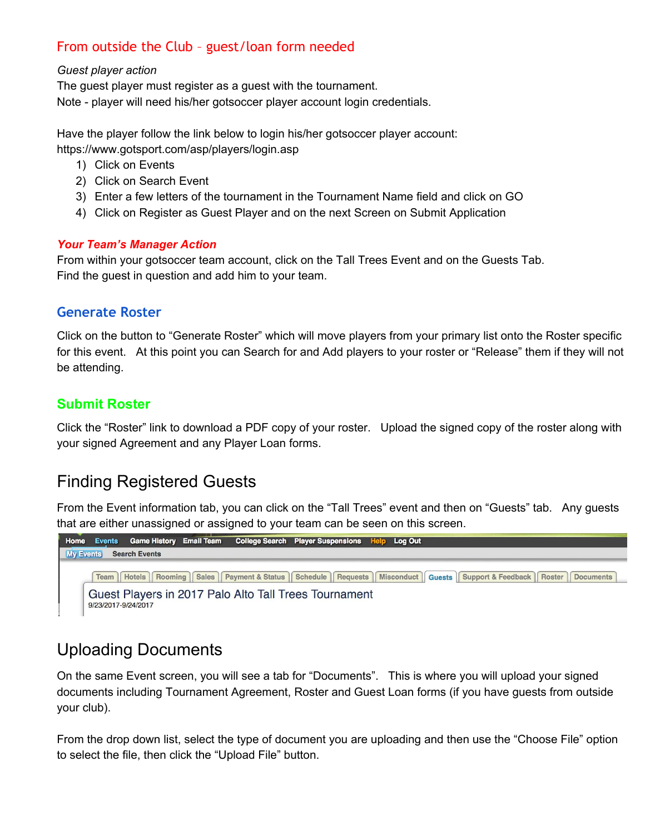## From outside the Club – guest/loan form needed

#### *Guest player action*

The guest player must register as a guest with the tournament. Note - player will need his/her gotsoccer player account login credentials.

Have the player follow the link below to login his/her gotsoccer player account: https://www.gotsport.com/asp/players/login.asp

- 1) Click on Events
- 2) Click on Search Event
- 3) Enter a few letters of the tournament in the Tournament Name field and click on GO
- 4) Click on Register as Guest Player and on the next Screen on Submit Application

#### *Your Team's Manager Action*

From within your gotsoccer team account, click on the Tall Trees Event and on the Guests Tab. Find the guest in question and add him to your team.

### **Generate Roster**

Click on the button to "Generate Roster" which will move players from your primary list onto the Roster specific for this event. At this point you can Search for and Add players to your roster or "Release" them if they will not be attending.

### **Submit Roster**

Click the "Roster" link to download a PDF copy of your roster. Upload the signed copy of the roster along with your signed Agreement and any Player Loan forms.

# Finding Registered Guests

From the Event information tab, you can click on the "Tall Trees" event and then on "Guests" tab. Any guests that are either unassigned or assigned to your team can be seen on this screen.



# Uploading Documents

On the same Event screen, you will see a tab for "Documents". This is where you will upload your signed documents including Tournament Agreement, Roster and Guest Loan forms (if you have guests from outside your club).

From the drop down list, select the type of document you are uploading and then use the "Choose File" option to select the file, then click the "Upload File" button.